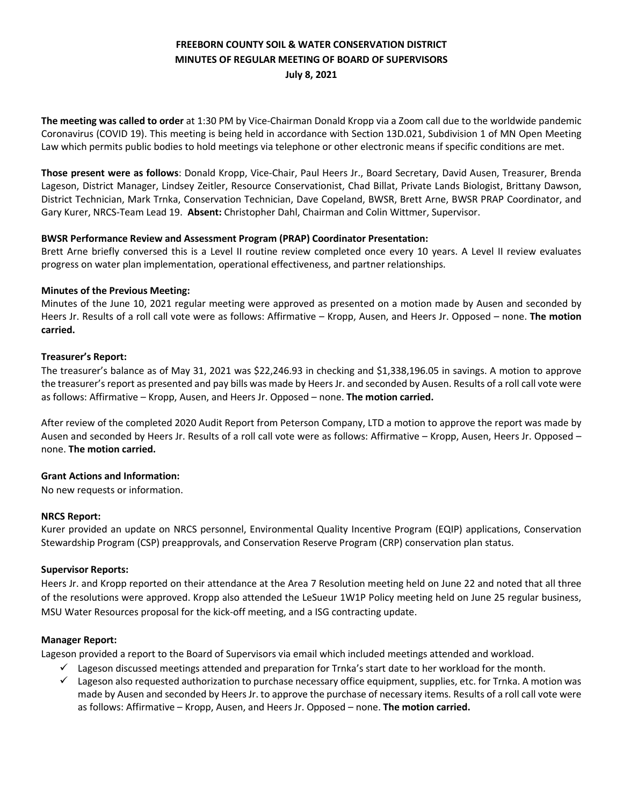# **FREEBORN COUNTY SOIL & WATER CONSERVATION DISTRICT MINUTES OF REGULAR MEETING OF BOARD OF SUPERVISORS July 8, 2021**

**The meeting was called to order** at 1:30 PM by Vice-Chairman Donald Kropp via a Zoom call due to the worldwide pandemic Coronavirus (COVID 19). This meeting is being held in accordance with Section 13D.021, Subdivision 1 of MN Open Meeting Law which permits public bodies to hold meetings via telephone or other electronic means if specific conditions are met.

**Those present were as follows**: Donald Kropp, Vice-Chair, Paul Heers Jr., Board Secretary, David Ausen, Treasurer, Brenda Lageson, District Manager, Lindsey Zeitler, Resource Conservationist, Chad Billat, Private Lands Biologist, Brittany Dawson, District Technician, Mark Trnka, Conservation Technician, Dave Copeland, BWSR, Brett Arne, BWSR PRAP Coordinator, and Gary Kurer, NRCS-Team Lead 19. **Absent:** Christopher Dahl, Chairman and Colin Wittmer, Supervisor.

# **BWSR Performance Review and Assessment Program (PRAP) Coordinator Presentation:**

Brett Arne briefly conversed this is a Level II routine review completed once every 10 years. A Level II review evaluates progress on water plan implementation, operational effectiveness, and partner relationships.

# **Minutes of the Previous Meeting:**

Minutes of the June 10, 2021 regular meeting were approved as presented on a motion made by Ausen and seconded by Heers Jr. Results of a roll call vote were as follows: Affirmative – Kropp, Ausen, and Heers Jr. Opposed – none. **The motion carried.** 

# **Treasurer's Report:**

The treasurer's balance as of May 31, 2021 was \$22,246.93 in checking and \$1,338,196.05 in savings. A motion to approve the treasurer's report as presented and pay bills was made by Heers Jr. and seconded by Ausen. Results of a roll call vote were as follows: Affirmative – Kropp, Ausen, and Heers Jr. Opposed – none. **The motion carried.** 

After review of the completed 2020 Audit Report from Peterson Company, LTD a motion to approve the report was made by Ausen and seconded by Heers Jr. Results of a roll call vote were as follows: Affirmative – Kropp, Ausen, Heers Jr. Opposed – none. **The motion carried.** 

# **Grant Actions and Information:**

No new requests or information.

#### **NRCS Report:**

Kurer provided an update on NRCS personnel, Environmental Quality Incentive Program (EQIP) applications, Conservation Stewardship Program (CSP) preapprovals, and Conservation Reserve Program (CRP) conservation plan status.

#### **Supervisor Reports:**

Heers Jr. and Kropp reported on their attendance at the Area 7 Resolution meeting held on June 22 and noted that all three of the resolutions were approved. Kropp also attended the LeSueur 1W1P Policy meeting held on June 25 regular business, MSU Water Resources proposal for the kick-off meeting, and a ISG contracting update.

#### **Manager Report:**

Lageson provided a report to the Board of Supervisors via email which included meetings attended and workload.

- $\checkmark$  Lageson discussed meetings attended and preparation for Trnka's start date to her workload for the month.
- $\checkmark$  Lageson also requested authorization to purchase necessary office equipment, supplies, etc. for Trnka. A motion was made by Ausen and seconded by Heers Jr. to approve the purchase of necessary items. Results of a roll call vote were as follows: Affirmative – Kropp, Ausen, and Heers Jr. Opposed – none. **The motion carried.**